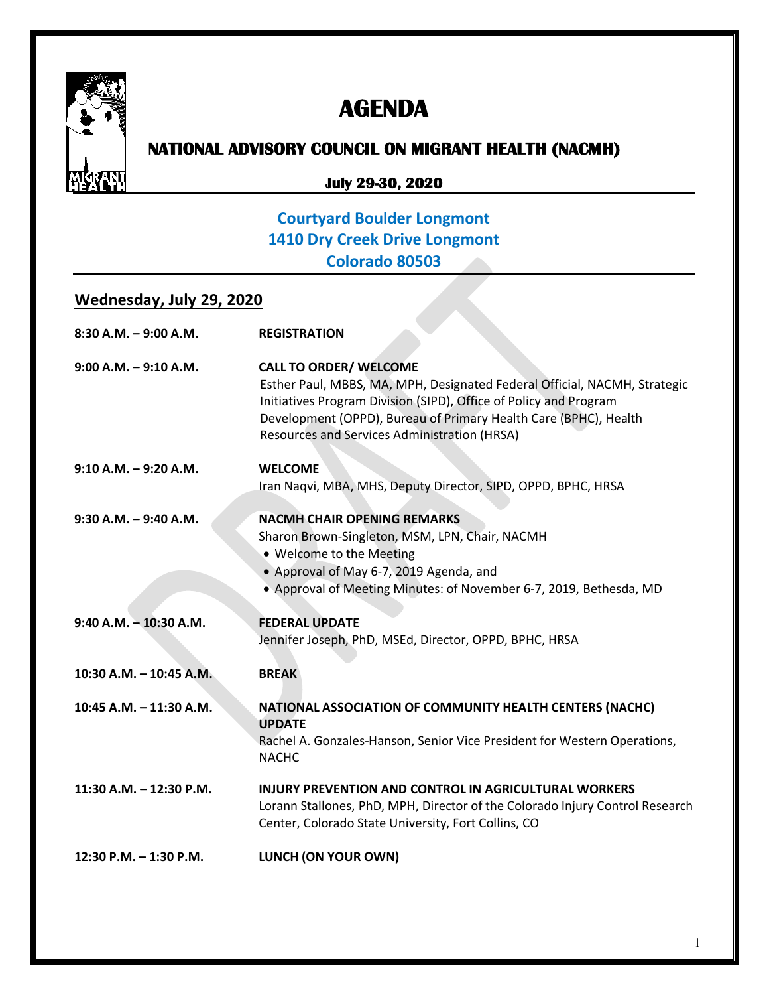

# **AGENDA**

# **NATIONAL ADVISORY COUNCIL ON MIGRANT HEALTH (NACMH)**

#### **July 29-30, 2020**

### **Courtyard Boulder Longmont 1410 Dry Creek Drive Longmont Colorado 80503**

#### **Wednesday, July 29, 2020**

| $8:30$ A.M. $-9:00$ A.M.  | <b>REGISTRATION</b>                                                                                                                                                                                                                                                                                 |
|---------------------------|-----------------------------------------------------------------------------------------------------------------------------------------------------------------------------------------------------------------------------------------------------------------------------------------------------|
| $9:00$ A.M. $-9:10$ A.M.  | <b>CALL TO ORDER/ WELCOME</b><br>Esther Paul, MBBS, MA, MPH, Designated Federal Official, NACMH, Strategic<br>Initiatives Program Division (SIPD), Office of Policy and Program<br>Development (OPPD), Bureau of Primary Health Care (BPHC), Health<br>Resources and Services Administration (HRSA) |
| $9:10$ A.M. $-9:20$ A.M.  | <b>WELCOME</b><br>Iran Naqvi, MBA, MHS, Deputy Director, SIPD, OPPD, BPHC, HRSA                                                                                                                                                                                                                     |
| $9:30$ A.M. $-9:40$ A.M.  | <b>NACMH CHAIR OPENING REMARKS</b><br>Sharon Brown-Singleton, MSM, LPN, Chair, NACMH<br>• Welcome to the Meeting<br>• Approval of May 6-7, 2019 Agenda, and<br>• Approval of Meeting Minutes: of November 6-7, 2019, Bethesda, MD                                                                   |
| $9:40$ A.M. $-10:30$ A.M. | <b>FEDERAL UPDATE</b><br>Jennifer Joseph, PhD, MSEd, Director, OPPD, BPHC, HRSA                                                                                                                                                                                                                     |
| 10:30 A.M. - 10:45 A.M.   | <b>BREAK</b>                                                                                                                                                                                                                                                                                        |
| 10:45 A.M. - 11:30 A.M.   | NATIONAL ASSOCIATION OF COMMUNITY HEALTH CENTERS (NACHC)<br><b>UPDATE</b><br>Rachel A. Gonzales-Hanson, Senior Vice President for Western Operations,<br><b>NACHC</b>                                                                                                                               |
| 11:30 A.M. - 12:30 P.M.   | <b>INJURY PREVENTION AND CONTROL IN AGRICULTURAL WORKERS</b><br>Lorann Stallones, PhD, MPH, Director of the Colorado Injury Control Research<br>Center, Colorado State University, Fort Collins, CO                                                                                                 |
| 12:30 P.M. - 1:30 P.M.    | LUNCH (ON YOUR OWN)                                                                                                                                                                                                                                                                                 |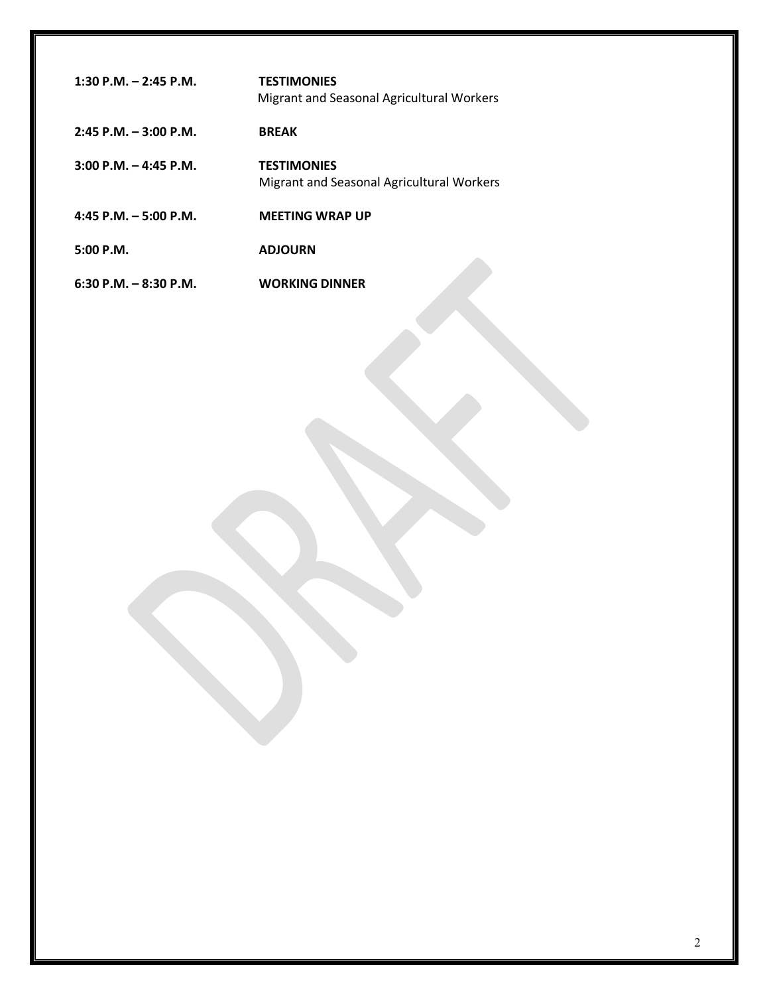| 1:30 P.M. $-$ 2:45 P.M.  | <b>TESTIMONIES</b><br>Migrant and Seasonal Agricultural Workers |
|--------------------------|-----------------------------------------------------------------|
| $2:45$ P.M. $-3:00$ P.M. | <b>BREAK</b>                                                    |
| $3:00$ P.M. $-4:45$ P.M. | <b>TESTIMONIES</b><br>Migrant and Seasonal Agricultural Workers |
| 4:45 P.M. $-5:00$ P.M.   | <b>MEETING WRAP UP</b>                                          |
| $5:00$ P.M.              | <b>ADJOURN</b>                                                  |
| $6:30$ P.M. $-8:30$ P.M. | <b>WORKING DINNER</b>                                           |